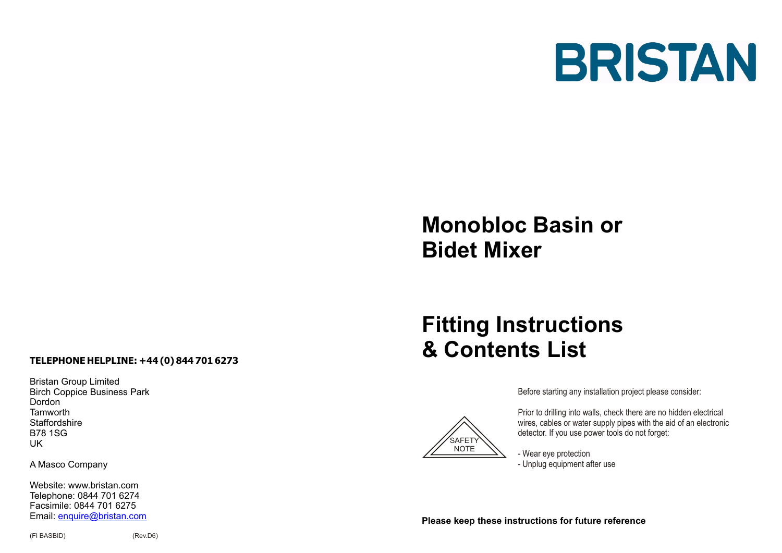

# **Monobloc Basin or Bidet Mixer**

# **TELEPHONE HELPLINE: +44 (0) 844 701 6273**

Bristan Group Limited Birch Coppice Business Park Dordon **Tamworth Staffordshire** B78 1SG UK

A Masco Company

Website: www.bristan.com Telephone: 0844 701 6274 Facsimile: 0844 701 6275 Email: enquire@bristan.com

# **Fitting Instructions & Contents List**



SAFETY **NOTE**  Before starting any installation project please consider:

Prior to drilling into walls, check there are no hidden electrical wires, cables or water supply pipes with the aid of an electronic detector. If you use power tools do not forget:

- Wear eye protection - Unplug equipment after use

**Please keep these instructions for future reference**

(FI BASBID) (Rev.D6)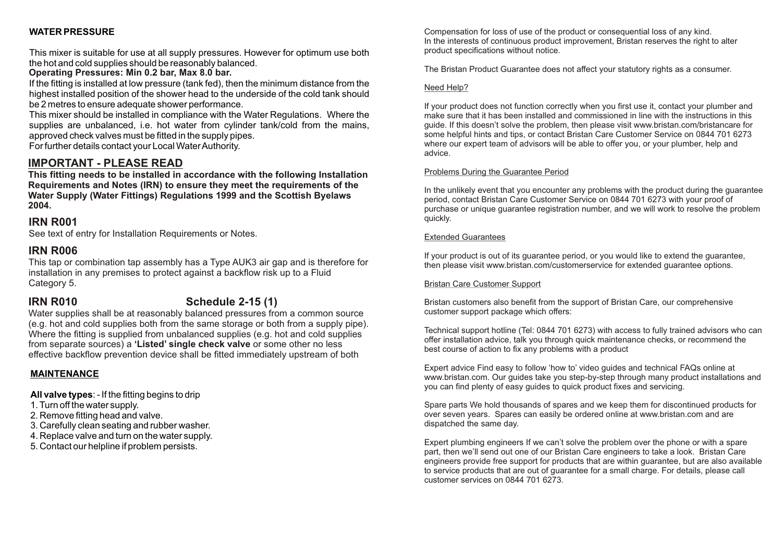### **WATER PRESSURE**

This mixer is suitable for use at all supply pressures. However for optimum use both the hot and cold supplies should be reasonably balanced.

#### **Operating Pressures: Min 0.2 bar, Max 8.0 bar.**

If the fitting is installed at low pressure (tank fed), then the minimum distance from the highest installed position of the shower head to the underside of the cold tank should be 2 metres to ensure adequate shower performance.

This mixer should be installed in compliance with the Water Regulations. Where the supplies are unbalanced, i.e. hot water from cylinder tank/cold from the mains, approved check valves must be fitted in the supply pipes.

For further details contact your Local Water Authority.

## **IMPORTANT - PLEASE READ**

**This fitting needs to be installed in accordance with the following Installation Requirements and Notes (IRN) to ensure they meet the requirements of the Water Supply (Water Fittings) Regulations 1999 and the Scottish Byelaws 2004.**

### **IRN R001**

See text of entry for Installation Requirements or Notes.

### **IRN R006**

This tap or combination tap assembly has a Type AUK3 air gap and is therefore for installation in any premises to protect against a backflow risk up to a Fluid Category 5.

# **IRN R010 Schedule 2-15 (1)**

Water supplies shall be at reasonably balanced pressures from a common source (e.g. hot and cold supplies both from the same storage or both from a supply pipe). Where the fitting is supplied from unbalanced supplies (e.g. hot and cold supplies from separate sources) a **'Listed' single check valve** or some other no less effective backflow prevention device shall be fitted immediately upstream of both

#### **MAINTENANCE**

**All valve types**: - If the fitting begins to drip

- 1. Turn off the water supply.
- 2. Remove fitting head and valve.
- 3. Carefully clean seating and rubber washer.
- 4. Replace valve and turn on the water supply.
- 5. Contact our helpline if problem persists.

Compensation for loss of use of the product or consequential loss of any kind. In the interests of continuous product improvement, Bristan reserves the right to alter product specifications without notice.

The Bristan Product Guarantee does not affect your statutory rights as a consumer.

#### Need Help?

If your product does not function correctly when you first use it, contact your plumber and make sure that it has been installed and commissioned in line with the instructions in this guide. If this doesn't solve the problem, then please visit www.bristan.com/bristancare for some helpful hints and tips, or contact Bristan Care Customer Service on 0844 701 6273 where our expert team of advisors will be able to offer you, or your plumber, help and advice.

#### Problems During the Guarantee Period

In the unlikely event that you encounter any problems with the product during the guarantee period, contact Bristan Care Customer Service on 0844 701 6273 with your proof of purchase or unique guarantee registration number, and we will work to resolve the problem quickly.

#### Extended Guarantees

If your product is out of its guarantee period, or you would like to extend the guarantee, then please visit www.bristan.com/customerservice for extended guarantee options.

#### Bristan Care Customer Support

Bristan customers also benefit from the support of Bristan Care, our comprehensive customer support package which offers:

Technical support hotline (Tel: 0844 701 6273) with access to fully trained advisors who can offer installation advice, talk you through quick maintenance checks, or recommend the best course of action to fix any problems with a product

Expert advice Find easy to follow 'how to' video guides and technical FAQs online at www.bristan.com. Our guides take you step-by-step through many product installations and you can find plenty of easy guides to quick product fixes and servicing.

Spare parts We hold thousands of spares and we keep them for discontinued products for over seven years. Spares can easily be ordered online at www.bristan.com and are dispatched the same day.

Expert plumbing engineers If we can't solve the problem over the phone or with a spare part, then we'll send out one of our Bristan Care engineers to take a look. Bristan Care engineers provide free support for products that are within guarantee, but are also available to service products that are out of guarantee for a small charge. For details, please call customer services on 0844 701 6273.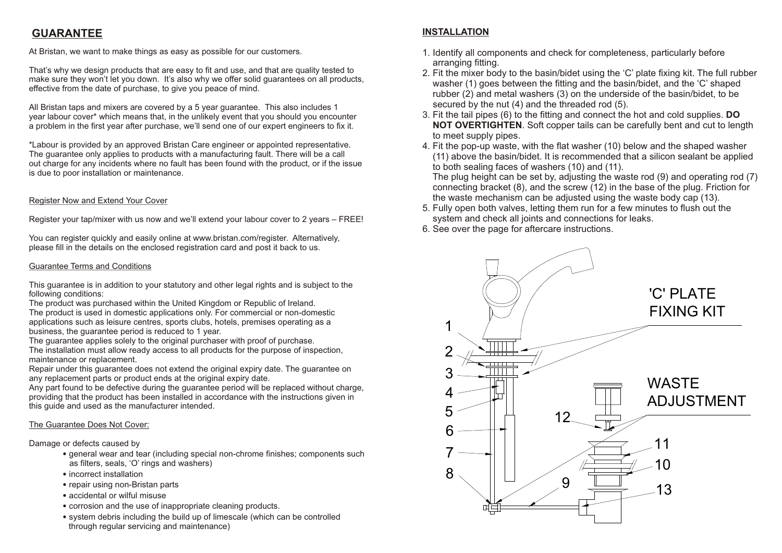# **GUARANTEE INSTALLATION**

At Bristan, we want to make things as easy as possible for our customers.

That's why we design products that are easy to fit and use, and that are quality tested to make sure they won't let you down. It's also why we offer solid guarantees on all products, effective from the date of purchase, to give you peace of mind.

All Bristan taps and mixers are covered by a 5 year guarantee. This also includes 1 year labour cover\* which means that, in the unlikely event that you should you encounter a problem in the first year after purchase, we'll send one of our expert engineers to fix it.

\*Labour is provided by an approved Bristan Care engineer or appointed representative. The guarantee only applies to products with a manufacturing fault. There will be a call out charge for any incidents where no fault has been found with the product, or if the issue is due to poor installation or maintenance.

#### Register Now and Extend Your Cover

Register your tap/mixer with us now and we'll extend your labour cover to 2 years – FREE!

You can register quickly and easily online at www.bristan.com/register. Alternatively, please fill in the details on the enclosed registration card and post it back to us.

#### Guarantee Terms and Conditions

This guarantee is in addition to your statutory and other legal rights and is subject to the following conditions:

The product was purchased within the United Kingdom or Republic of Ireland. The product is used in domestic applications only. For commercial or non-domestic applications such as leisure centres, sports clubs, hotels, premises operating as a business, the guarantee period is reduced to 1 year.

The guarantee applies solely to the original purchaser with proof of purchase.

The installation must allow ready access to all products for the purpose of inspection, maintenance or replacement.

Repair under this guarantee does not extend the original expiry date. The guarantee on any replacement parts or product ends at the original expiry date.

Any part found to be defective during the guarantee period will be replaced without charge, providing that the product has been installed in accordance with the instructions given in this guide and used as the manufacturer intended.

#### The Guarantee Does Not Cover:

Damage or defects caused by

- general wear and tear (including special non-chrome finishes; components such as filters, seals, 'O' rings and washers)
- incorrect installation
- repair using non-Bristan parts
- accidental or wilful misuse
- corrosion and the use of inappropriate cleaning products.
- system debris including the build up of limescale (which can be controlled through regular servicing and maintenance)

- 1. Identify all components and check for completeness, particularly before arranging fitting.
- 2. Fit the mixer body to the basin/bidet using the 'C' plate fixing kit. The full rubber washer (1) goes between the fitting and the basin/bidet, and the 'C' shaped rubber (2) and metal washers (3) on the underside of the basin/bidet, to be secured by the nut (4) and the threaded rod (5).
- 3. Fit the tail pipes (6) to the fitting and connect the hot and cold supplies. **DO NOT OVERTIGHTEN**. Soft copper tails can be carefully bent and cut to length to meet supply pipes.
- 4. Fit the pop-up waste, with the flat washer (10) below and the shaped washer (11) above the basin/bidet. It is recommended that a silicon sealant be applied to both sealing faces of washers (10) and (11).

 The plug height can be set by, adjusting the waste rod (9) and operating rod (7) connecting bracket (8), and the screw (12) in the base of the plug. Friction for the waste mechanism can be adjusted using the waste body cap (13).

- 5. Fully open both valves, letting them run for a few minutes to flush out the system and check all joints and connections for leaks.
- 6. See over the page for aftercare instructions.